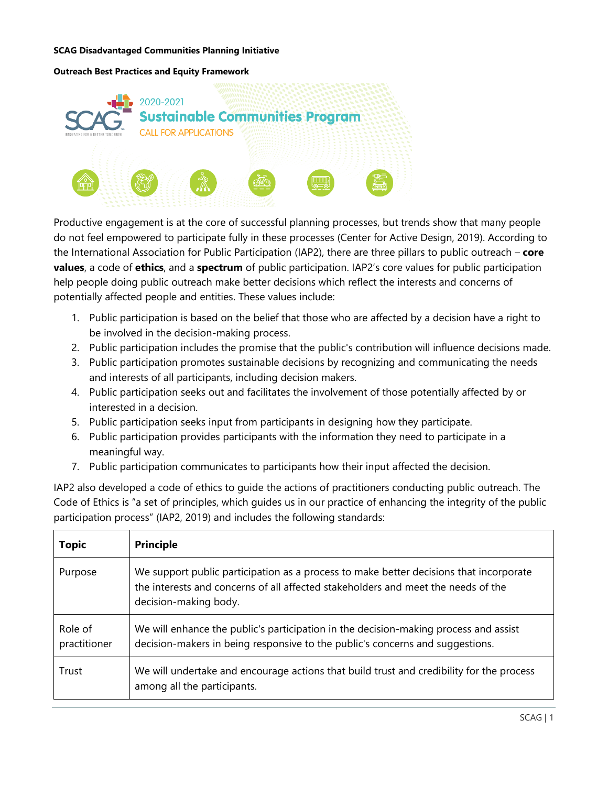#### **Outreach Best Practices and Equity Framework**



Productive engagement is at the core of successful planning processes, but trends show that many people do not feel empowered to participate fully in these processes (Center for Active Design, 2019). According to the International Association for Public Participation (IAP2), there are three pillars to public outreach – **core values**, a code of **ethics**, and a **spectrum** of public participation. IAP2's core values for public participation help people doing public outreach make better decisions which reflect the interests and concerns of potentially affected people and entities. These values include:

- 1. Public participation is based on the belief that those who are affected by a decision have a right to be involved in the decision-making process.
- 2. Public participation includes the promise that the public's contribution will influence decisions made.
- 3. Public participation promotes sustainable decisions by recognizing and communicating the needs and interests of all participants, including decision makers.
- 4. Public participation seeks out and facilitates the involvement of those potentially affected by or interested in a decision.
- 5. Public participation seeks input from participants in designing how they participate.
- 6. Public participation provides participants with the information they need to participate in a meaningful way.
- 7. Public participation communicates to participants how their input affected the decision.

IAP2 also developed a code of ethics to guide the actions of practitioners conducting public outreach. The Code of Ethics is "a set of principles, which guides us in our practice of enhancing the integrity of the public participation process" (IAP2, 2019) and includes the following standards:

| <b>Topic</b>            | <b>Principle</b>                                                                                                                                                                                     |
|-------------------------|------------------------------------------------------------------------------------------------------------------------------------------------------------------------------------------------------|
| Purpose                 | We support public participation as a process to make better decisions that incorporate<br>the interests and concerns of all affected stakeholders and meet the needs of the<br>decision-making body. |
| Role of<br>practitioner | We will enhance the public's participation in the decision-making process and assist<br>decision-makers in being responsive to the public's concerns and suggestions.                                |
| Trust                   | We will undertake and encourage actions that build trust and credibility for the process<br>among all the participants.                                                                              |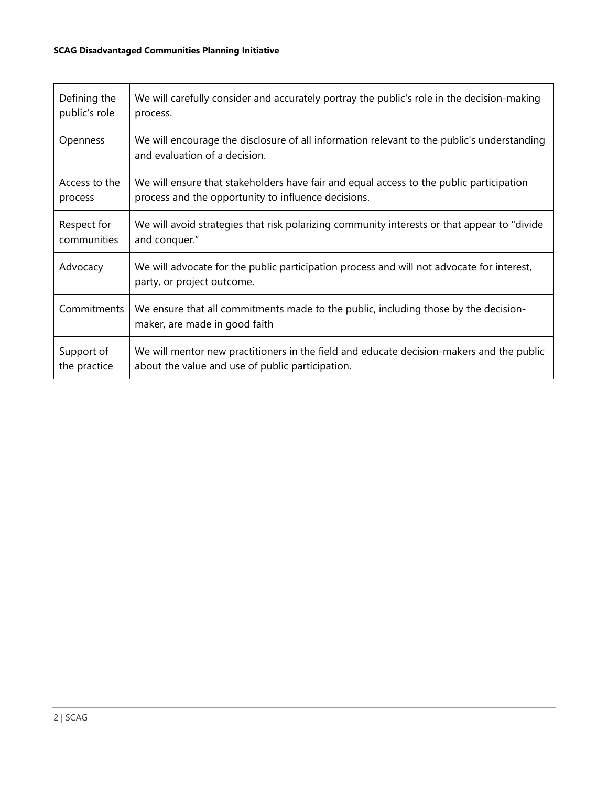| Defining the  | We will carefully consider and accurately portray the public's role in the decision-making                                  |
|---------------|-----------------------------------------------------------------------------------------------------------------------------|
| public's role | process.                                                                                                                    |
| Openness      | We will encourage the disclosure of all information relevant to the public's understanding<br>and evaluation of a decision. |
| Access to the | We will ensure that stakeholders have fair and equal access to the public participation                                     |
| process       | process and the opportunity to influence decisions.                                                                         |
| Respect for   | We will avoid strategies that risk polarizing community interests or that appear to "divide"                                |
| communities   | and conquer."                                                                                                               |
| Advocacy      | We will advocate for the public participation process and will not advocate for interest,<br>party, or project outcome.     |
| Commitments   | We ensure that all commitments made to the public, including those by the decision-<br>maker, are made in good faith        |
| Support of    | We will mentor new practitioners in the field and educate decision-makers and the public                                    |
| the practice  | about the value and use of public participation.                                                                            |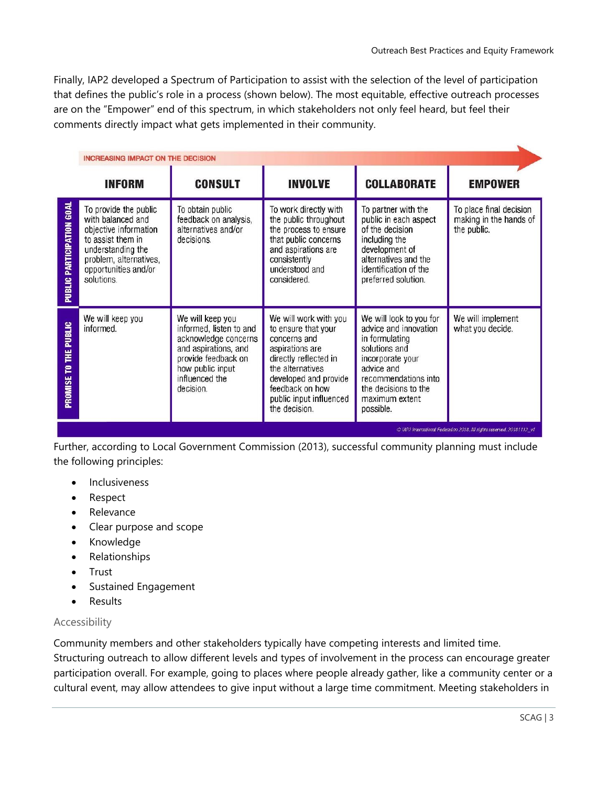Finally, IAP2 developed a Spectrum of Participation to assist with the selection of the level of participation that defines the public's role in a process (shown below). The most equitable, effective outreach processes are on the "Empower" end of this spectrum, in which stakeholders not only feel heard, but feel their comments directly impact what gets implemented in their community.

|                                                                        | <b>INCREASING IMPACT ON THE DECISION</b>                                                                                                                                      |                                                                                                                                                                       |                                                                                                                                                                                                                      |                                                                                                                                                                                                      |                                                                  |
|------------------------------------------------------------------------|-------------------------------------------------------------------------------------------------------------------------------------------------------------------------------|-----------------------------------------------------------------------------------------------------------------------------------------------------------------------|----------------------------------------------------------------------------------------------------------------------------------------------------------------------------------------------------------------------|------------------------------------------------------------------------------------------------------------------------------------------------------------------------------------------------------|------------------------------------------------------------------|
|                                                                        | <b>INFORM</b>                                                                                                                                                                 | <b>CONSULT</b>                                                                                                                                                        | <b>INVOLVE</b>                                                                                                                                                                                                       | <b>COLLABORATE</b>                                                                                                                                                                                   | <b>EMPOWER</b>                                                   |
| <b>PUBLIC PARTICIPATION GOAL</b>                                       | To provide the public<br>with balanced and<br>objective information<br>to assist them in<br>understanding the<br>problem, alternatives,<br>opportunities and/or<br>solutions. | To obtain public<br>feedback on analysis,<br>alternatives and/or<br>decisions.                                                                                        | To work directly with<br>the public throughout<br>the process to ensure<br>that public concerns<br>and aspirations are<br>consistently<br>understood and<br>considered.                                              | To partner with the<br>public in each aspect<br>of the decision<br>including the<br>development of<br>alternatives and the<br>identification of the<br>preferred solution.                           | To place final decision<br>making in the hands of<br>the public. |
| PUBLIC<br>Ĕ<br>Ρ<br>PROMISE                                            | We will keep you<br>informed.                                                                                                                                                 | We will keep you<br>informed, listen to and<br>acknowledge concerns<br>and aspirations, and<br>provide feedback on<br>how public input<br>influenced the<br>decision. | We will work with you<br>to ensure that your<br>concerns and<br>aspirations are<br>directly reflected in<br>the alternatives<br>developed and provide<br>feedback on how<br>public input influenced<br>the decision. | We will look to you for<br>advice and innovation<br>in formulating<br>solutions and<br>incorporate your<br>advice and<br>recommendations into<br>the decisions to the<br>maximum extent<br>possible. | We will implement<br>what you decide.                            |
| C IAP2 International Federation 2018. All rights reserved. 20181112 v1 |                                                                                                                                                                               |                                                                                                                                                                       |                                                                                                                                                                                                                      |                                                                                                                                                                                                      |                                                                  |

Further, according to Local Government Commission (2013), successful community planning must include the following principles:

- **Inclusiveness**
- Respect
- Relevance
- Clear purpose and scope
- Knowledge
- Relationships
- Trust
- Sustained Engagement
- Results

#### Accessibility

Community members and other stakeholders typically have competing interests and limited time.

Structuring outreach to allow different levels and types of involvement in the process can encourage greater participation overall. For example, going to places where people already gather, like a community center or a cultural event, may allow attendees to give input without a large time commitment. Meeting stakeholders in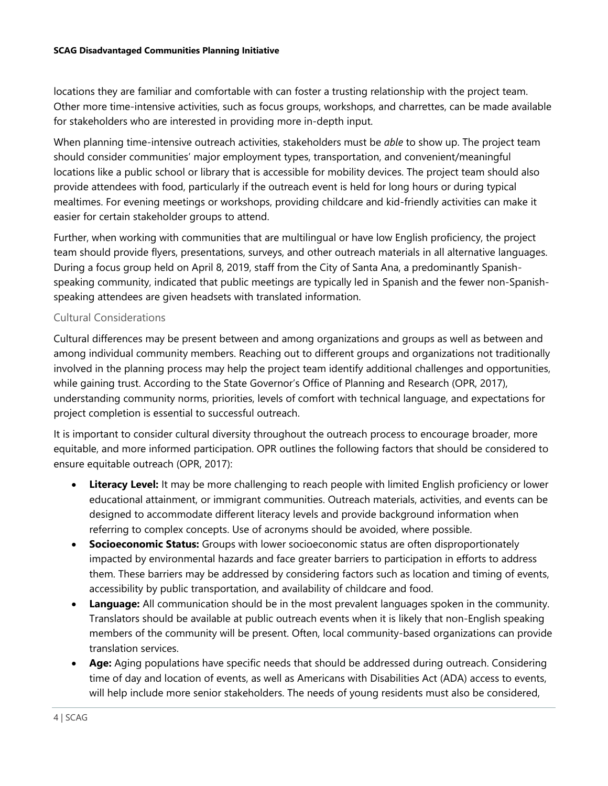locations they are familiar and comfortable with can foster a trusting relationship with the project team. Other more time-intensive activities, such as focus groups, workshops, and charrettes, can be made available for stakeholders who are interested in providing more in-depth input.

When planning time-intensive outreach activities, stakeholders must be *able* to show up. The project team should consider communities' major employment types, transportation, and convenient/meaningful locations like a public school or library that is accessible for mobility devices. The project team should also provide attendees with food, particularly if the outreach event is held for long hours or during typical mealtimes. For evening meetings or workshops, providing childcare and kid-friendly activities can make it easier for certain stakeholder groups to attend.

Further, when working with communities that are multilingual or have low English proficiency, the project team should provide flyers, presentations, surveys, and other outreach materials in all alternative languages. During a focus group held on April 8, 2019, staff from the City of Santa Ana, a predominantly Spanishspeaking community, indicated that public meetings are typically led in Spanish and the fewer non-Spanishspeaking attendees are given headsets with translated information.

# Cultural Considerations

Cultural differences may be present between and among organizations and groups as well as between and among individual community members. Reaching out to different groups and organizations not traditionally involved in the planning process may help the project team identify additional challenges and opportunities, while gaining trust. According to the State Governor's Office of Planning and Research (OPR, 2017), understanding community norms, priorities, levels of comfort with technical language, and expectations for project completion is essential to successful outreach.

It is important to consider cultural diversity throughout the outreach process to encourage broader, more equitable, and more informed participation. OPR outlines the following factors that should be considered to ensure equitable outreach (OPR, 2017):

- **Literacy Level:** It may be more challenging to reach people with limited English proficiency or lower educational attainment, or immigrant communities. Outreach materials, activities, and events can be designed to accommodate different literacy levels and provide background information when referring to complex concepts. Use of acronyms should be avoided, where possible.
- **Socioeconomic Status:** Groups with lower socioeconomic status are often disproportionately impacted by environmental hazards and face greater barriers to participation in efforts to address them. These barriers may be addressed by considering factors such as location and timing of events, accessibility by public transportation, and availability of childcare and food.
- **Language:** All communication should be in the most prevalent languages spoken in the community. Translators should be available at public outreach events when it is likely that non-English speaking members of the community will be present. Often, local community-based organizations can provide translation services.
- **Age:** Aging populations have specific needs that should be addressed during outreach. Considering time of day and location of events, as well as Americans with Disabilities Act (ADA) access to events, will help include more senior stakeholders. The needs of young residents must also be considered,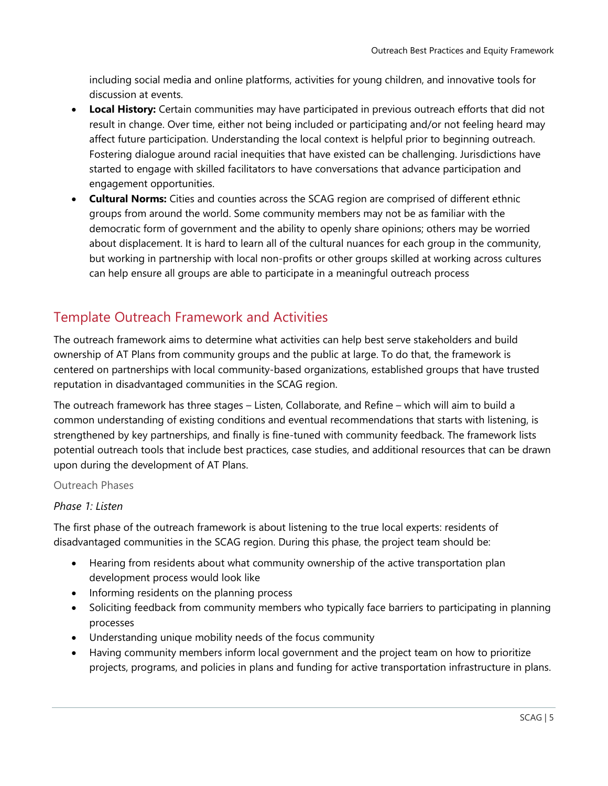including social media and online platforms, activities for young children, and innovative tools for discussion at events.

- **Local History:** Certain communities may have participated in previous outreach efforts that did not result in change. Over time, either not being included or participating and/or not feeling heard may affect future participation. Understanding the local context is helpful prior to beginning outreach. Fostering dialogue around racial inequities that have existed can be challenging. Jurisdictions have started to engage with skilled facilitators to have conversations that advance participation and engagement opportunities.
- **Cultural Norms:** Cities and counties across the SCAG region are comprised of different ethnic groups from around the world. Some community members may not be as familiar with the democratic form of government and the ability to openly share opinions; others may be worried about displacement. It is hard to learn all of the cultural nuances for each group in the community, but working in partnership with local non-profits or other groups skilled at working across cultures can help ensure all groups are able to participate in a meaningful outreach process

# Template Outreach Framework and Activities

The outreach framework aims to determine what activities can help best serve stakeholders and build ownership of AT Plans from community groups and the public at large. To do that, the framework is centered on partnerships with local community-based organizations, established groups that have trusted reputation in disadvantaged communities in the SCAG region.

The outreach framework has three stages – Listen, Collaborate, and Refine – which will aim to build a common understanding of existing conditions and eventual recommendations that starts with listening, is strengthened by key partnerships, and finally is fine-tuned with community feedback. The framework lists potential outreach tools that include best practices, case studies, and additional resources that can be drawn upon during the development of AT Plans.

## Outreach Phases

## *Phase 1: Listen*

The first phase of the outreach framework is about listening to the true local experts: residents of disadvantaged communities in the SCAG region. During this phase, the project team should be:

- Hearing from residents about what community ownership of the active transportation plan development process would look like
- Informing residents on the planning process
- Soliciting feedback from community members who typically face barriers to participating in planning processes
- Understanding unique mobility needs of the focus community
- Having community members inform local government and the project team on how to prioritize projects, programs, and policies in plans and funding for active transportation infrastructure in plans.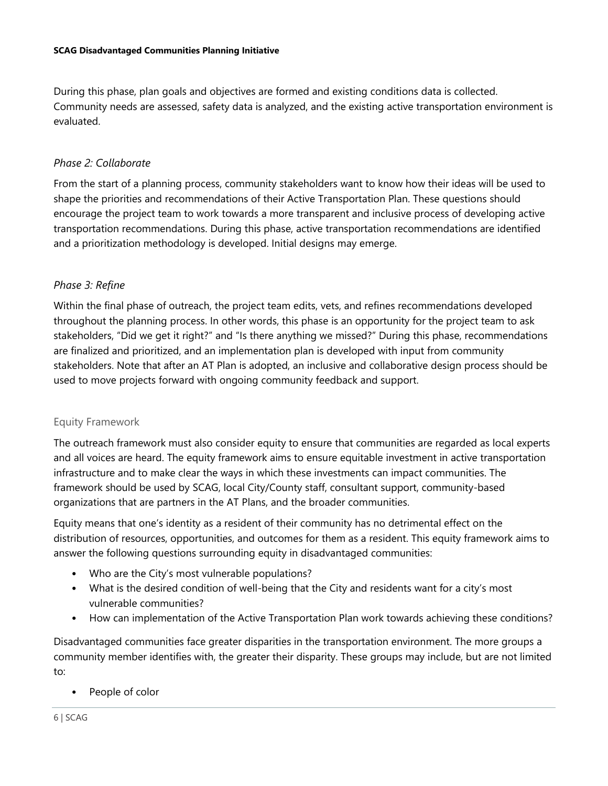During this phase, plan goals and objectives are formed and existing conditions data is collected. Community needs are assessed, safety data is analyzed, and the existing active transportation environment is evaluated.

#### *Phase 2: Collaborate*

From the start of a planning process, community stakeholders want to know how their ideas will be used to shape the priorities and recommendations of their Active Transportation Plan. These questions should encourage the project team to work towards a more transparent and inclusive process of developing active transportation recommendations. During this phase, active transportation recommendations are identified and a prioritization methodology is developed. Initial designs may emerge.

## *Phase 3: Refine*

Within the final phase of outreach, the project team edits, vets, and refines recommendations developed throughout the planning process. In other words, this phase is an opportunity for the project team to ask stakeholders, "Did we get it right?" and "Is there anything we missed?" During this phase, recommendations are finalized and prioritized, and an implementation plan is developed with input from community stakeholders. Note that after an AT Plan is adopted, an inclusive and collaborative design process should be used to move projects forward with ongoing community feedback and support.

#### Equity Framework

The outreach framework must also consider equity to ensure that communities are regarded as local experts and all voices are heard. The equity framework aims to ensure equitable investment in active transportation infrastructure and to make clear the ways in which these investments can impact communities. The framework should be used by SCAG, local City/County staff, consultant support, community-based organizations that are partners in the AT Plans, and the broader communities.

Equity means that one's identity as a resident of their community has no detrimental effect on the distribution of resources, opportunities, and outcomes for them as a resident. This equity framework aims to answer the following questions surrounding equity in disadvantaged communities:

- Who are the City's most vulnerable populations?
- What is the desired condition of well-being that the City and residents want for a city's most vulnerable communities?
- How can implementation of the Active Transportation Plan work towards achieving these conditions?

Disadvantaged communities face greater disparities in the transportation environment. The more groups a community member identifies with, the greater their disparity. These groups may include, but are not limited to:

People of color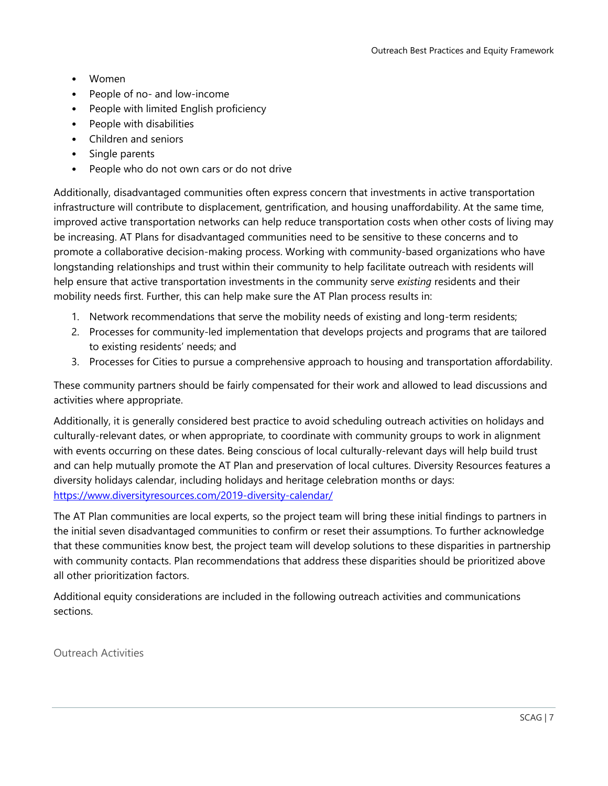- Women
- People of no- and low-income
- People with limited English proficiency
- People with disabilities
- Children and seniors
- Single parents
- People who do not own cars or do not drive

Additionally, disadvantaged communities often express concern that investments in active transportation infrastructure will contribute to displacement, gentrification, and housing unaffordability. At the same time, improved active transportation networks can help reduce transportation costs when other costs of living may be increasing. AT Plans for disadvantaged communities need to be sensitive to these concerns and to promote a collaborative decision-making process. Working with community-based organizations who have longstanding relationships and trust within their community to help facilitate outreach with residents will help ensure that active transportation investments in the community serve *existing* residents and their mobility needs first. Further, this can help make sure the AT Plan process results in:

- 1. Network recommendations that serve the mobility needs of existing and long-term residents;
- 2. Processes for community-led implementation that develops projects and programs that are tailored to existing residents' needs; and
- 3. Processes for Cities to pursue a comprehensive approach to housing and transportation affordability.

These community partners should be fairly compensated for their work and allowed to lead discussions and activities where appropriate.

Additionally, it is generally considered best practice to avoid scheduling outreach activities on holidays and culturally-relevant dates, or when appropriate, to coordinate with community groups to work in alignment with events occurring on these dates. Being conscious of local culturally-relevant days will help build trust and can help mutually promote the AT Plan and preservation of local cultures. Diversity Resources features a diversity holidays calendar, including holidays and heritage celebration months or days: <https://www.diversityresources.com/2019-diversity-calendar/>

The AT Plan communities are local experts, so the project team will bring these initial findings to partners in the initial seven disadvantaged communities to confirm or reset their assumptions. To further acknowledge that these communities know best, the project team will develop solutions to these disparities in partnership with community contacts. Plan recommendations that address these disparities should be prioritized above all other prioritization factors.

Additional equity considerations are included in the following outreach activities and communications sections.

Outreach Activities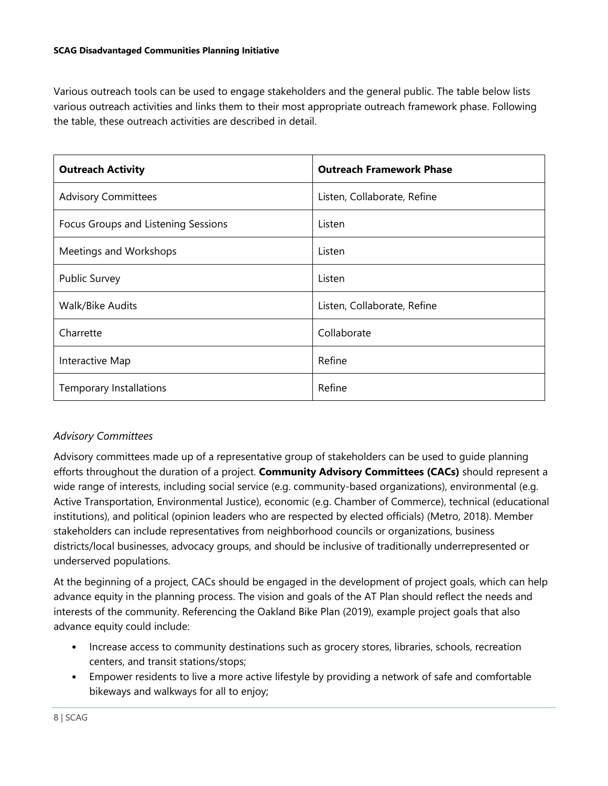Various outreach tools can be used to engage stakeholders and the general public. The table below lists various outreach activities and links them to their most appropriate outreach framework phase. Following the table, these outreach activities are described in detail.

| <b>Outreach Activity</b>            | <b>Outreach Framework Phase</b> |
|-------------------------------------|---------------------------------|
| <b>Advisory Committees</b>          | Listen, Collaborate, Refine     |
| Focus Groups and Listening Sessions | Listen                          |
| Meetings and Workshops              | Listen                          |
| <b>Public Survey</b>                | Listen                          |
| Walk/Bike Audits                    | Listen, Collaborate, Refine     |
| Charrette                           | Collaborate                     |
| Interactive Map                     | Refine                          |
| <b>Temporary Installations</b>      | Refine                          |

# *Advisory Committees*

Advisory committees made up of a representative group of stakeholders can be used to guide planning efforts throughout the duration of a project. **Community Advisory Committees (CACs)** should represent a wide range of interests, including social service (e.g. community-based organizations), environmental (e.g. Active Transportation, Environmental Justice), economic (e.g. Chamber of Commerce), technical (educational institutions), and political (opinion leaders who are respected by elected officials) (Metro, 2018). Member stakeholders can include representatives from neighborhood councils or organizations, business districts/local businesses, advocacy groups, and should be inclusive of traditionally underrepresented or underserved populations.

At the beginning of a project, CACs should be engaged in the development of project goals, which can help advance equity in the planning process. The vision and goals of the AT Plan should reflect the needs and interests of the community. Referencing the Oakland Bike Plan (2019), example project goals that also advance equity could include:

- Increase access to community destinations such as grocery stores, libraries, schools, recreation centers, and transit stations/stops;
- Empower residents to live a more active lifestyle by providing a network of safe and comfortable bikeways and walkways for all to enjoy;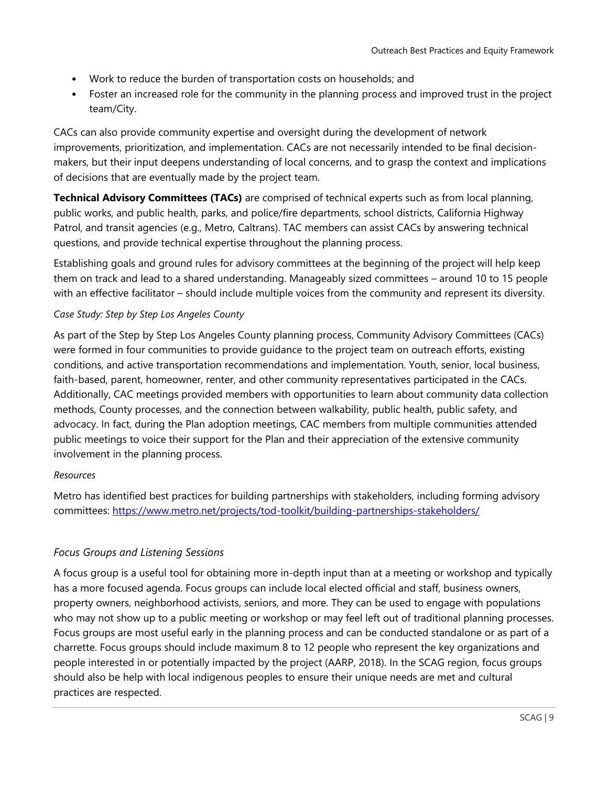- Work to reduce the burden of transportation costs on households; and
- Foster an increased role for the community in the planning process and improved trust in the project team/City.

CACs can also provide community expertise and oversight during the development of network improvements, prioritization, and implementation. CACs are not necessarily intended to be final decisionmakers, but their input deepens understanding of local concerns, and to grasp the context and implications of decisions that are eventually made by the project team.

**Technical Advisory Committees (TACs)** are comprised of technical experts such as from local planning, public works, and public health, parks, and police/fire departments, school districts, California Highway Patrol, and transit agencies (e.g., Metro, Caltrans). TAC members can assist CACs by answering technical questions, and provide technical expertise throughout the planning process.

Establishing goals and ground rules for advisory committees at the beginning of the project will help keep them on track and lead to a shared understanding. Manageably sized committees – around 10 to 15 people with an effective facilitator – should include multiple voices from the community and represent its diversity.

## *Case Study: Step by Step Los Angeles County*

As part of the Step by Step Los Angeles County planning process, Community Advisory Committees (CACs) were formed in four communities to provide guidance to the project team on outreach efforts, existing conditions, and active transportation recommendations and implementation. Youth, senior, local business, faith-based, parent, homeowner, renter, and other community representatives participated in the CACs. Additionally, CAC meetings provided members with opportunities to learn about community data collection methods, County processes, and the connection between walkability, public health, public safety, and advocacy. In fact, during the Plan adoption meetings, CAC members from multiple communities attended public meetings to voice their support for the Plan and their appreciation of the extensive community involvement in the planning process.

#### *Resources*

Metro has identified best practices for building partnerships with stakeholders, including forming advisory committees:<https://www.metro.net/projects/tod-toolkit/building-partnerships-stakeholders/>

## *Focus Groups and Listening Sessions*

A focus group is a useful tool for obtaining more in-depth input than at a meeting or workshop and typically has a more focused agenda. Focus groups can include local elected official and staff, business owners, property owners, neighborhood activists, seniors, and more. They can be used to engage with populations who may not show up to a public meeting or workshop or may feel left out of traditional planning processes. Focus groups are most useful early in the planning process and can be conducted standalone or as part of a charrette. Focus groups should include maximum 8 to 12 people who represent the key organizations and people interested in or potentially impacted by the project (AARP, 2018). In the SCAG region, focus groups should also be help with local indigenous peoples to ensure their unique needs are met and cultural practices are respected.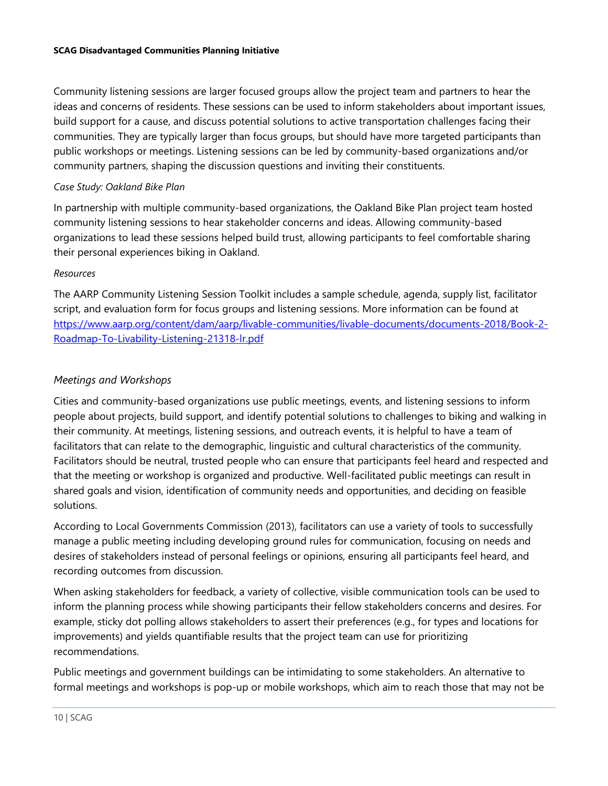Community listening sessions are larger focused groups allow the project team and partners to hear the ideas and concerns of residents. These sessions can be used to inform stakeholders about important issues, build support for a cause, and discuss potential solutions to active transportation challenges facing their communities. They are typically larger than focus groups, but should have more targeted participants than public workshops or meetings. Listening sessions can be led by community-based organizations and/or community partners, shaping the discussion questions and inviting their constituents.

## *Case Study: Oakland Bike Plan*

In partnership with multiple community-based organizations, the Oakland Bike Plan project team hosted community listening sessions to hear stakeholder concerns and ideas. Allowing community-based organizations to lead these sessions helped build trust, allowing participants to feel comfortable sharing their personal experiences biking in Oakland.

# *Resources*

The AARP Community Listening Session Toolkit includes a sample schedule, agenda, supply list, facilitator script, and evaluation form for focus groups and listening sessions. More information can be found at [https://www.aarp.org/content/dam/aarp/livable-communities/livable-documents/documents-2018/Book-2-](https://www.aarp.org/content/dam/aarp/livable-communities/livable-documents/documents-2018/Book-2-Roadmap-To-Livability-Listening-21318-lr.pdf) [Roadmap-To-Livability-Listening-21318-lr.pdf](https://www.aarp.org/content/dam/aarp/livable-communities/livable-documents/documents-2018/Book-2-Roadmap-To-Livability-Listening-21318-lr.pdf)

# *Meetings and Workshops*

Cities and community-based organizations use public meetings, events, and listening sessions to inform people about projects, build support, and identify potential solutions to challenges to biking and walking in their community. At meetings, listening sessions, and outreach events, it is helpful to have a team of facilitators that can relate to the demographic, linguistic and cultural characteristics of the community. Facilitators should be neutral, trusted people who can ensure that participants feel heard and respected and that the meeting or workshop is organized and productive. Well-facilitated public meetings can result in shared goals and vision, identification of community needs and opportunities, and deciding on feasible solutions.

According to Local Governments Commission (2013), facilitators can use a variety of tools to successfully manage a public meeting including developing ground rules for communication, focusing on needs and desires of stakeholders instead of personal feelings or opinions, ensuring all participants feel heard, and recording outcomes from discussion.

When asking stakeholders for feedback, a variety of collective, visible communication tools can be used to inform the planning process while showing participants their fellow stakeholders concerns and desires. For example, sticky dot polling allows stakeholders to assert their preferences (e.g., for types and locations for improvements) and yields quantifiable results that the project team can use for prioritizing recommendations.

Public meetings and government buildings can be intimidating to some stakeholders. An alternative to formal meetings and workshops is pop-up or mobile workshops, which aim to reach those that may not be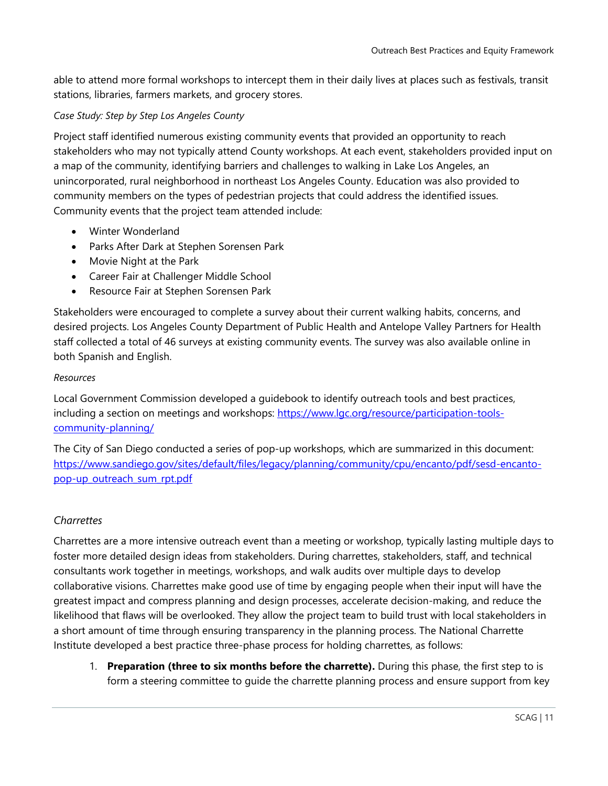able to attend more formal workshops to intercept them in their daily lives at places such as festivals, transit stations, libraries, farmers markets, and grocery stores.

## *Case Study: Step by Step Los Angeles County*

Project staff identified numerous existing community events that provided an opportunity to reach stakeholders who may not typically attend County workshops. At each event, stakeholders provided input on a map of the community, identifying barriers and challenges to walking in Lake Los Angeles, an unincorporated, rural neighborhood in northeast Los Angeles County. Education was also provided to community members on the types of pedestrian projects that could address the identified issues. Community events that the project team attended include:

- Winter Wonderland
- Parks After Dark at Stephen Sorensen Park
- Movie Night at the Park
- Career Fair at Challenger Middle School
- Resource Fair at Stephen Sorensen Park

Stakeholders were encouraged to complete a survey about their current walking habits, concerns, and desired projects. Los Angeles County Department of Public Health and Antelope Valley Partners for Health staff collected a total of 46 surveys at existing community events. The survey was also available online in both Spanish and English.

#### *Resources*

Local Government Commission developed a guidebook to identify outreach tools and best practices, including a section on meetings and workshops: [https://www.lgc.org/resource/participation-tools](https://www.lgc.org/resource/participation-tools-community-planning/)[community-planning/](https://www.lgc.org/resource/participation-tools-community-planning/)

The City of San Diego conducted a series of pop-up workshops, which are summarized in this document: [https://www.sandiego.gov/sites/default/files/legacy/planning/community/cpu/encanto/pdf/sesd-encanto](https://www.sandiego.gov/sites/default/files/legacy/planning/community/cpu/encanto/pdf/sesd-encanto-pop-up_outreach_sum_rpt.pdf)[pop-up\\_outreach\\_sum\\_rpt.pdf](https://www.sandiego.gov/sites/default/files/legacy/planning/community/cpu/encanto/pdf/sesd-encanto-pop-up_outreach_sum_rpt.pdf)

## *Charrettes*

Charrettes are a more intensive outreach event than a meeting or workshop, typically lasting multiple days to foster more detailed design ideas from stakeholders. During charrettes, stakeholders, staff, and technical consultants work together in meetings, workshops, and walk audits over multiple days to develop collaborative visions. Charrettes make good use of time by engaging people when their input will have the greatest impact and compress planning and design processes, accelerate decision-making, and reduce the likelihood that flaws will be overlooked. They allow the project team to build trust with local stakeholders in a short amount of time through ensuring transparency in the planning process. The National Charrette Institute developed a best practice three-phase process for holding charrettes, as follows:

1. **Preparation (three to six months before the charrette).** During this phase, the first step to is form a steering committee to guide the charrette planning process and ensure support from key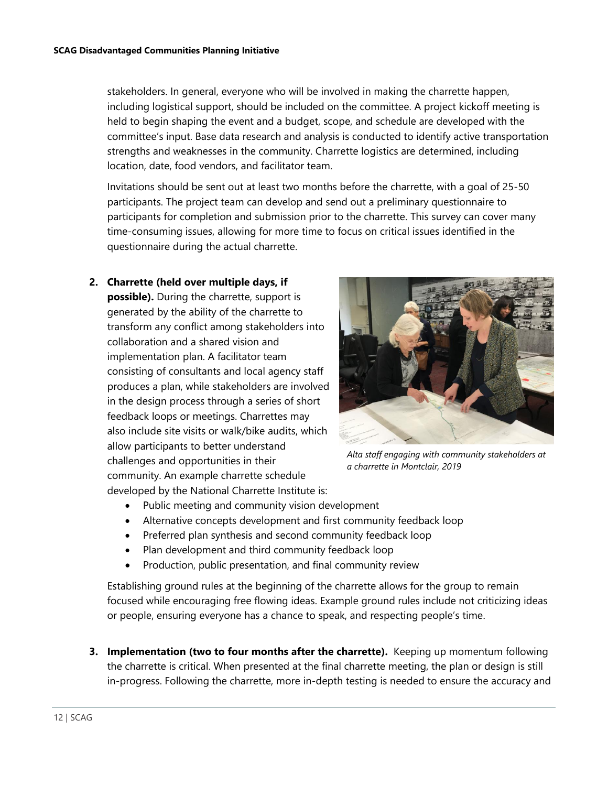stakeholders. In general, everyone who will be involved in making the charrette happen, including logistical support, should be included on the committee. A project kickoff meeting is held to begin shaping the event and a budget, scope, and schedule are developed with the committee's input. Base data research and analysis is conducted to identify active transportation strengths and weaknesses in the community. Charrette logistics are determined, including location, date, food vendors, and facilitator team.

Invitations should be sent out at least two months before the charrette, with a goal of 25-50 participants. The project team can develop and send out a preliminary questionnaire to participants for completion and submission prior to the charrette. This survey can cover many time-consuming issues, allowing for more time to focus on critical issues identified in the questionnaire during the actual charrette.

**2. Charrette (held over multiple days, if possible).** During the charrette, support is generated by the ability of the charrette to transform any conflict among stakeholders into collaboration and a shared vision and implementation plan. A facilitator team consisting of consultants and local agency staff produces a plan, while stakeholders are involved in the design process through a series of short feedback loops or meetings. Charrettes may also include site visits or walk/bike audits, which allow participants to better understand challenges and opportunities in their community. An example charrette schedule developed by the National Charrette Institute is:



*Alta staff engaging with community stakeholders at a charrette in Montclair, 2019*

- Public meeting and community vision development
- Alternative concepts development and first community feedback loop
- Preferred plan synthesis and second community feedback loop
- Plan development and third community feedback loop
- Production, public presentation, and final community review

Establishing ground rules at the beginning of the charrette allows for the group to remain focused while encouraging free flowing ideas. Example ground rules include not criticizing ideas or people, ensuring everyone has a chance to speak, and respecting people's time.

**3. Implementation (two to four months after the charrette).** Keeping up momentum following the charrette is critical. When presented at the final charrette meeting, the plan or design is still in-progress. Following the charrette, more in-depth testing is needed to ensure the accuracy and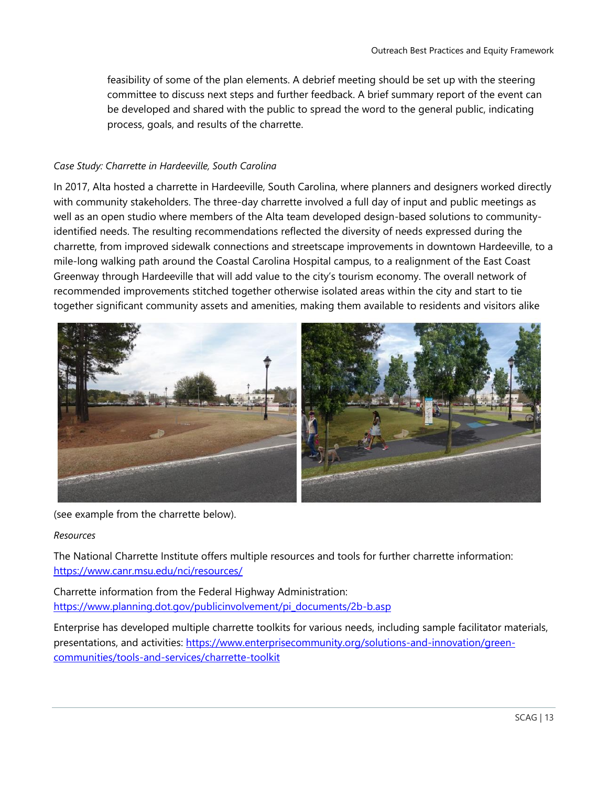feasibility of some of the plan elements. A debrief meeting should be set up with the steering committee to discuss next steps and further feedback. A brief summary report of the event can be developed and shared with the public to spread the word to the general public, indicating process, goals, and results of the charrette.

#### *Case Study: Charrette in Hardeeville, South Carolina*

In 2017, Alta hosted a charrette in Hardeeville, South Carolina, where planners and designers worked directly with community stakeholders. The three-day charrette involved a full day of input and public meetings as well as an open studio where members of the Alta team developed design-based solutions to communityidentified needs. The resulting recommendations reflected the diversity of needs expressed during the charrette, from improved sidewalk connections and streetscape improvements in downtown Hardeeville, to a mile-long walking path around the Coastal Carolina Hospital campus, to a realignment of the East Coast Greenway through Hardeeville that will add value to the city's tourism economy. The overall network of recommended improvements stitched together otherwise isolated areas within the city and start to tie together significant community assets and amenities, making them available to residents and visitors alike



(see example from the charrette below).

#### *Resources*

The National Charrette Institute offers multiple resources and tools for further charrette information: <https://www.canr.msu.edu/nci/resources/>

Charrette information from the Federal Highway Administration: [https://www.planning.dot.gov/publicinvolvement/pi\\_documents/2b-b.asp](https://www.planning.dot.gov/publicinvolvement/pi_documents/2b-b.asp)

Enterprise has developed multiple charrette toolkits for various needs, including sample facilitator materials, presentations, and activities: [https://www.enterprisecommunity.org/solutions-and-innovation/green](https://www.enterprisecommunity.org/solutions-and-innovation/green-communities/tools-and-services/charrette-toolkit)[communities/tools-and-services/charrette-toolkit](https://www.enterprisecommunity.org/solutions-and-innovation/green-communities/tools-and-services/charrette-toolkit)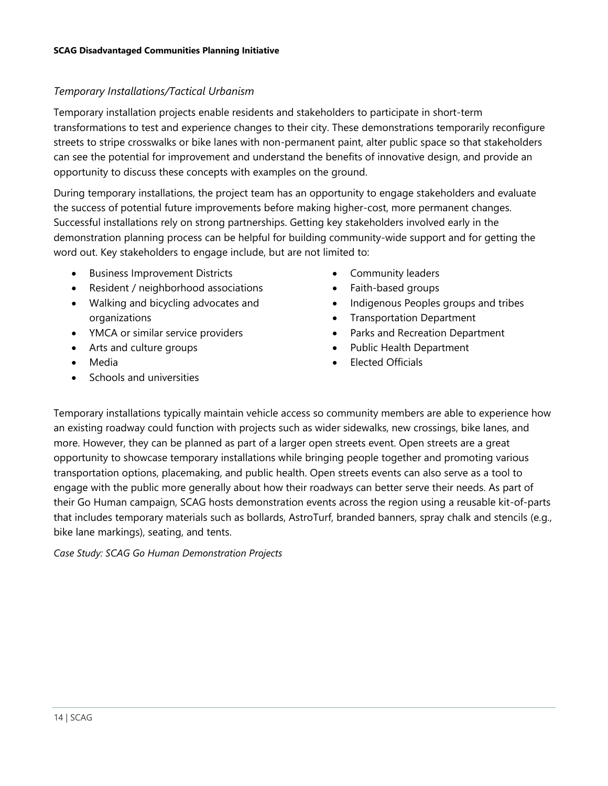# *Temporary Installations/Tactical Urbanism*

Temporary installation projects enable residents and stakeholders to participate in short-term transformations to test and experience changes to their city. These demonstrations temporarily reconfigure streets to stripe crosswalks or bike lanes with non-permanent paint, alter public space so that stakeholders can see the potential for improvement and understand the benefits of innovative design, and provide an opportunity to discuss these concepts with examples on the ground.

During temporary installations, the project team has an opportunity to engage stakeholders and evaluate the success of potential future improvements before making higher-cost, more permanent changes. Successful installations rely on strong partnerships. Getting key stakeholders involved early in the demonstration planning process can be helpful for building community-wide support and for getting the word out. Key stakeholders to engage include, but are not limited to:

- Business Improvement Districts
- Resident / neighborhood associations
- Walking and bicycling advocates and organizations
- YMCA or similar service providers
- Arts and culture groups
- Media
- Schools and universities
- Community leaders
- Faith-based groups
- Indigenous Peoples groups and tribes
- Transportation Department
- Parks and Recreation Department
- Public Health Department
- Elected Officials

Temporary installations typically maintain vehicle access so community members are able to experience how an existing roadway could function with projects such as wider sidewalks, new crossings, bike lanes, and more. However, they can be planned as part of a larger open streets event. Open streets are a great opportunity to showcase temporary installations while bringing people together and promoting various transportation options, placemaking, and public health. Open streets events can also serve as a tool to engage with the public more generally about how their roadways can better serve their needs. As part of their Go Human campaign, SCAG hosts demonstration events across the region using a reusable kit-of-parts that includes temporary materials such as bollards, AstroTurf, branded banners, spray chalk and stencils (e.g., bike lane markings), seating, and tents.

*Case Study: SCAG Go Human Demonstration Projects*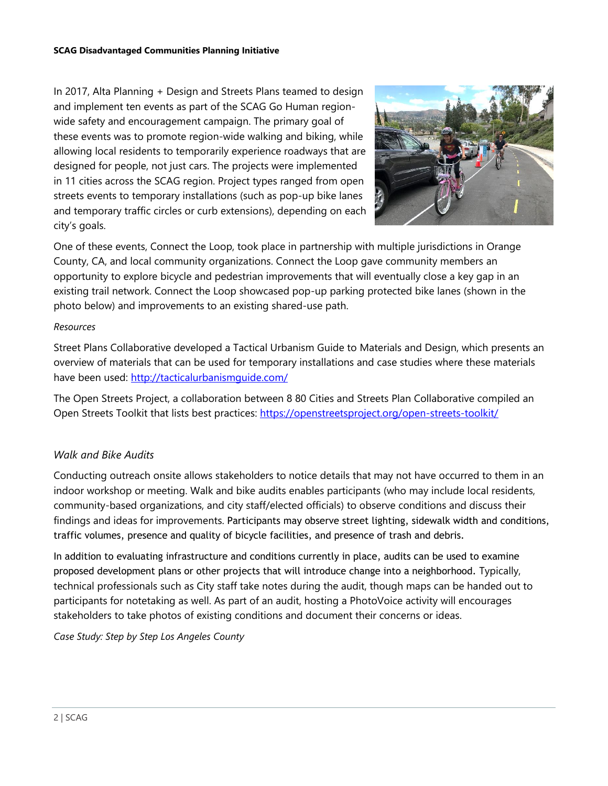In 2017, Alta Planning + Design and Streets Plans teamed to design and implement ten events as part of the SCAG Go Human regionwide safety and encouragement campaign. The primary goal of these events was to promote region-wide walking and biking, while allowing local residents to temporarily experience roadways that are designed for people, not just cars. The projects were implemented in 11 cities across the SCAG region. Project types ranged from open streets events to temporary installations (such as pop-up bike lanes and temporary traffic circles or curb extensions), depending on each city's goals.



One of these events, Connect the Loop, took place in partnership with multiple jurisdictions in Orange County, CA, and local community organizations. Connect the Loop gave community members an opportunity to explore bicycle and pedestrian improvements that will eventually close a key gap in an existing trail network. Connect the Loop showcased pop-up parking protected bike lanes (shown in the photo below) and improvements to an existing shared-use path.

## *Resources*

Street Plans Collaborative developed a Tactical Urbanism Guide to Materials and Design, which presents an overview of materials that can be used for temporary installations and case studies where these materials have been used:<http://tacticalurbanismguide.com/>

The Open Streets Project, a collaboration between 8 80 Cities and Streets Plan Collaborative compiled an Open Streets Toolkit that lists best practices:<https://openstreetsproject.org/open-streets-toolkit/>

## *Walk and Bike Audits*

Conducting outreach onsite allows stakeholders to notice details that may not have occurred to them in an indoor workshop or meeting. Walk and bike audits enables participants (who may include local residents, community-based organizations, and city staff/elected officials) to observe conditions and discuss their findings and ideas for improvements. Participants may observe street lighting, sidewalk width and conditions, traffic volumes, presence and quality of bicycle facilities, and presence of trash and debris.

In addition to evaluating infrastructure and conditions currently in place, audits can be used to examine proposed development plans or other projects that will introduce change into a neighborhood. Typically, technical professionals such as City staff take notes during the audit, though maps can be handed out to participants for notetaking as well. As part of an audit, hosting a PhotoVoice activity will encourages stakeholders to take photos of existing conditions and document their concerns or ideas.

*Case Study: Step by Step Los Angeles County*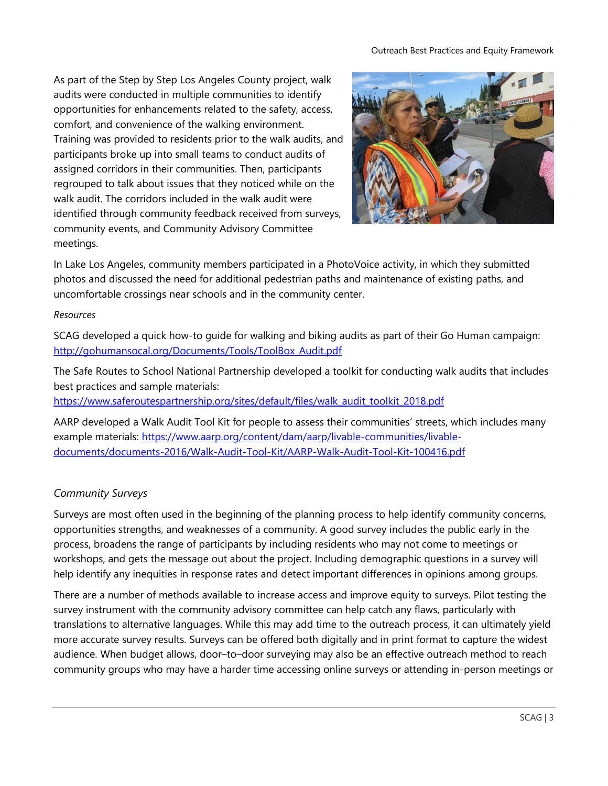As part of the Step by Step Los Angeles County project, walk audits were conducted in multiple communities to identify opportunities for enhancements related to the safety, access, comfort, and convenience of the walking environment. Training was provided to residents prior to the walk audits, and participants broke up into small teams to conduct audits of assigned corridors in their communities. Then, participants regrouped to talk about issues that they noticed while on the walk audit. The corridors included in the walk audit were identified through community feedback received from surveys, community events, and Community Advisory Committee meetings.



In Lake Los Angeles, community members participated in a PhotoVoice activity, in which they submitted photos and discussed the need for additional pedestrian paths and maintenance of existing paths, and uncomfortable crossings near schools and in the community center.

## *Resources*

SCAG developed a quick how-to guide for walking and biking audits as part of their Go Human campaign: [http://gohumansocal.org/Documents/Tools/ToolBox\\_Audit.pdf](http://gohumansocal.org/Documents/Tools/ToolBox_Audit.pdf)

The Safe Routes to School National Partnership developed a toolkit for conducting walk audits that includes best practices and sample materials:

[https://www.saferoutespartnership.org/sites/default/files/walk\\_audit\\_toolkit\\_2018.pdf](https://www.saferoutespartnership.org/sites/default/files/walk_audit_toolkit_2018.pdf)

AARP developed a Walk Audit Tool Kit for people to assess their communities' streets, which includes many example materials: [https://www.aarp.org/content/dam/aarp/livable-communities/livable](https://www.aarp.org/content/dam/aarp/livable-communities/livable-documents/documents-2016/Walk-Audit-Tool-Kit/AARP-Walk-Audit-Tool-Kit-100416.pdf)[documents/documents-2016/Walk-Audit-Tool-Kit/AARP-Walk-Audit-Tool-Kit-100416.pdf](https://www.aarp.org/content/dam/aarp/livable-communities/livable-documents/documents-2016/Walk-Audit-Tool-Kit/AARP-Walk-Audit-Tool-Kit-100416.pdf)

# *Community Surveys*

Surveys are most often used in the beginning of the planning process to help identify community concerns, opportunities strengths, and weaknesses of a community. A good survey includes the public early in the process, broadens the range of participants by including residents who may not come to meetings or workshops, and gets the message out about the project. Including demographic questions in a survey will help identify any inequities in response rates and detect important differences in opinions among groups.

There are a number of methods available to increase access and improve equity to surveys. Pilot testing the survey instrument with the community advisory committee can help catch any flaws, particularly with translations to alternative languages. While this may add time to the outreach process, it can ultimately yield more accurate survey results. Surveys can be offered both digitally and in print format to capture the widest audience. When budget allows, door–to–door surveying may also be an effective outreach method to reach community groups who may have a harder time accessing online surveys or attending in-person meetings or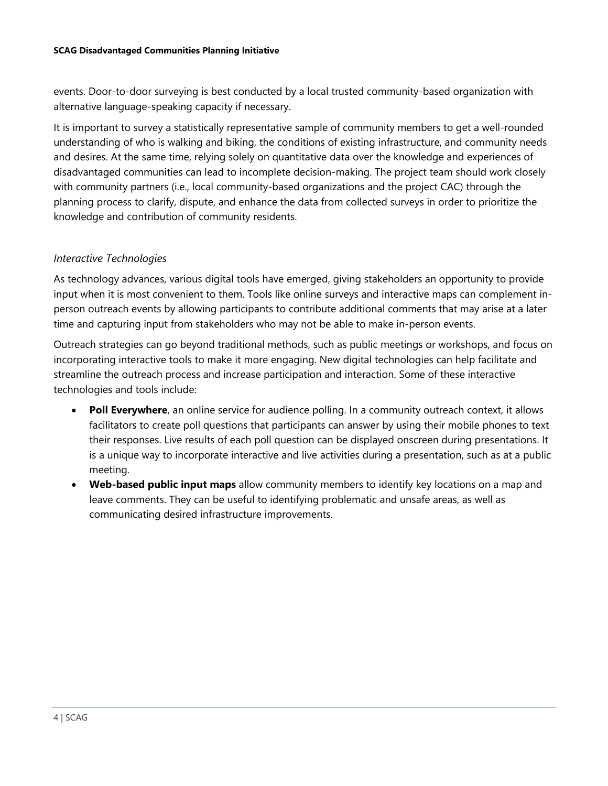events. Door-to-door surveying is best conducted by a local trusted community-based organization with alternative language-speaking capacity if necessary.

It is important to survey a statistically representative sample of community members to get a well-rounded understanding of who is walking and biking, the conditions of existing infrastructure, and community needs and desires. At the same time, relying solely on quantitative data over the knowledge and experiences of disadvantaged communities can lead to incomplete decision-making. The project team should work closely with community partners (i.e., local community-based organizations and the project CAC) through the planning process to clarify, dispute, and enhance the data from collected surveys in order to prioritize the knowledge and contribution of community residents.

## *Interactive Technologies*

As technology advances, various digital tools have emerged, giving stakeholders an opportunity to provide input when it is most convenient to them. Tools like online surveys and interactive maps can complement inperson outreach events by allowing participants to contribute additional comments that may arise at a later time and capturing input from stakeholders who may not be able to make in-person events.

Outreach strategies can go beyond traditional methods, such as public meetings or workshops, and focus on incorporating interactive tools to make it more engaging. New digital technologies can help facilitate and streamline the outreach process and increase participation and interaction. Some of these interactive technologies and tools include:

- **Poll Everywhere**, an online service for audience polling. In a community outreach context, it allows facilitators to create poll questions that participants can answer by using their mobile phones to text their responses. Live results of each poll question can be displayed onscreen during presentations. It is a unique way to incorporate interactive and live activities during a presentation, such as at a public meeting.
- **Web-based public input maps** allow community members to identify key locations on a map and leave comments. They can be useful to identifying problematic and unsafe areas, as well as communicating desired infrastructure improvements.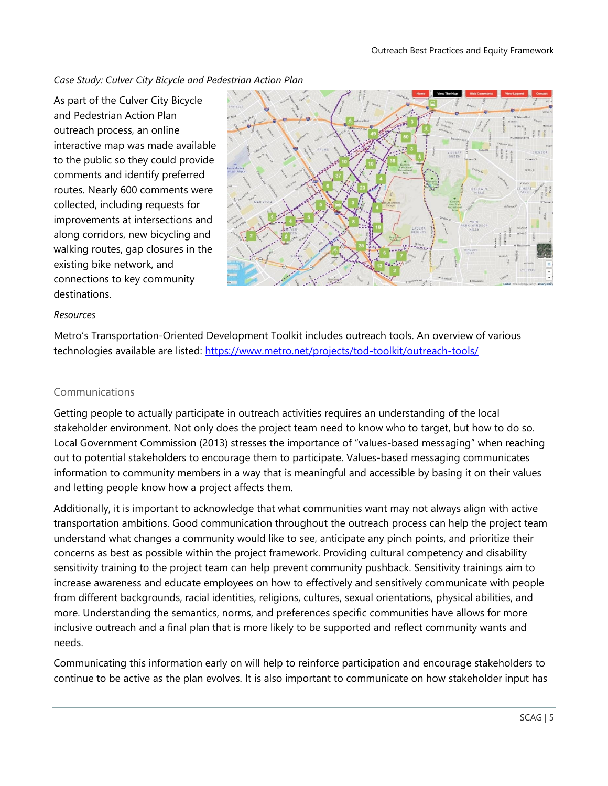*Case Study: Culver City Bicycle and Pedestrian Action Plan*

As part of the Culver City Bicycle and Pedestrian Action Plan outreach process, an online interactive map was made available to the public so they could provide comments and identify preferred routes. Nearly 600 comments were collected, including requests for improvements at intersections and along corridors, new bicycling and walking routes, gap closures in the existing bike network, and connections to key community destinations.



#### *Resources*

Metro's Transportation-Oriented Development Toolkit includes outreach tools. An overview of various technologies available are listed:<https://www.metro.net/projects/tod-toolkit/outreach-tools/>

#### Communications

Getting people to actually participate in outreach activities requires an understanding of the local stakeholder environment. Not only does the project team need to know who to target, but how to do so. Local Government Commission (2013) stresses the importance of "values-based messaging" when reaching out to potential stakeholders to encourage them to participate. Values-based messaging communicates information to community members in a way that is meaningful and accessible by basing it on their values and letting people know how a project affects them.

Additionally, it is important to acknowledge that what communities want may not always align with active transportation ambitions. Good communication throughout the outreach process can help the project team understand what changes a community would like to see, anticipate any pinch points, and prioritize their concerns as best as possible within the project framework. Providing cultural competency and disability sensitivity training to the project team can help prevent community pushback. Sensitivity trainings aim to increase awareness and educate employees on how to effectively and sensitively communicate with people from different backgrounds, racial identities, religions, cultures, sexual orientations, physical abilities, and more. Understanding the semantics, norms, and preferences specific communities have allows for more inclusive outreach and a final plan that is more likely to be supported and reflect community wants and needs.

Communicating this information early on will help to reinforce participation and encourage stakeholders to continue to be active as the plan evolves. It is also important to communicate on how stakeholder input has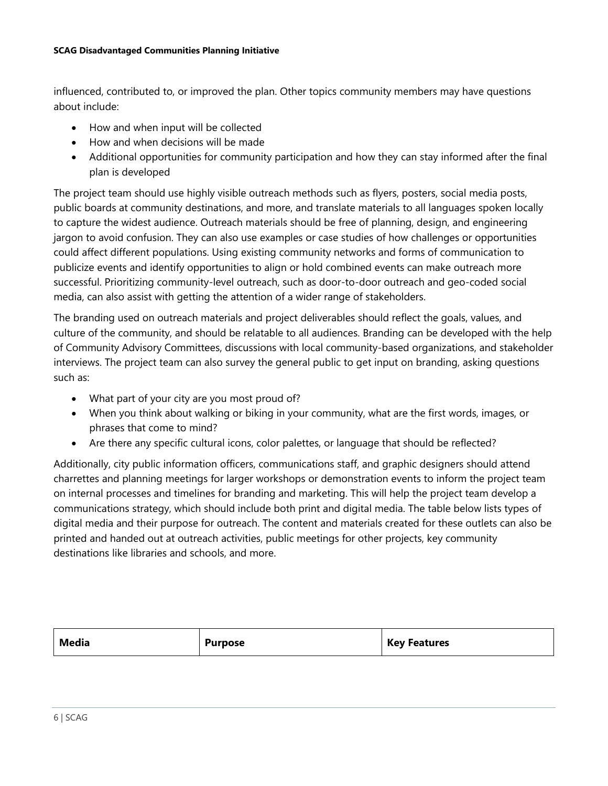influenced, contributed to, or improved the plan. Other topics community members may have questions about include:

- How and when input will be collected
- How and when decisions will be made
- Additional opportunities for community participation and how they can stay informed after the final plan is developed

The project team should use highly visible outreach methods such as flyers, posters, social media posts, public boards at community destinations, and more, and translate materials to all languages spoken locally to capture the widest audience. Outreach materials should be free of planning, design, and engineering jargon to avoid confusion. They can also use examples or case studies of how challenges or opportunities could affect different populations. Using existing community networks and forms of communication to publicize events and identify opportunities to align or hold combined events can make outreach more successful. Prioritizing community-level outreach, such as door-to-door outreach and geo-coded social media, can also assist with getting the attention of a wider range of stakeholders.

The branding used on outreach materials and project deliverables should reflect the goals, values, and culture of the community, and should be relatable to all audiences. Branding can be developed with the help of Community Advisory Committees, discussions with local community-based organizations, and stakeholder interviews. The project team can also survey the general public to get input on branding, asking questions such as:

- What part of your city are you most proud of?
- When you think about walking or biking in your community, what are the first words, images, or phrases that come to mind?
- Are there any specific cultural icons, color palettes, or language that should be reflected?

Additionally, city public information officers, communications staff, and graphic designers should attend charrettes and planning meetings for larger workshops or demonstration events to inform the project team on internal processes and timelines for branding and marketing. This will help the project team develop a communications strategy, which should include both print and digital media. The table below lists types of digital media and their purpose for outreach. The content and materials created for these outlets can also be printed and handed out at outreach activities, public meetings for other projects, key community destinations like libraries and schools, and more.

| Media<br><b>Key Features</b><br><b>Purpose</b> |
|------------------------------------------------|
|------------------------------------------------|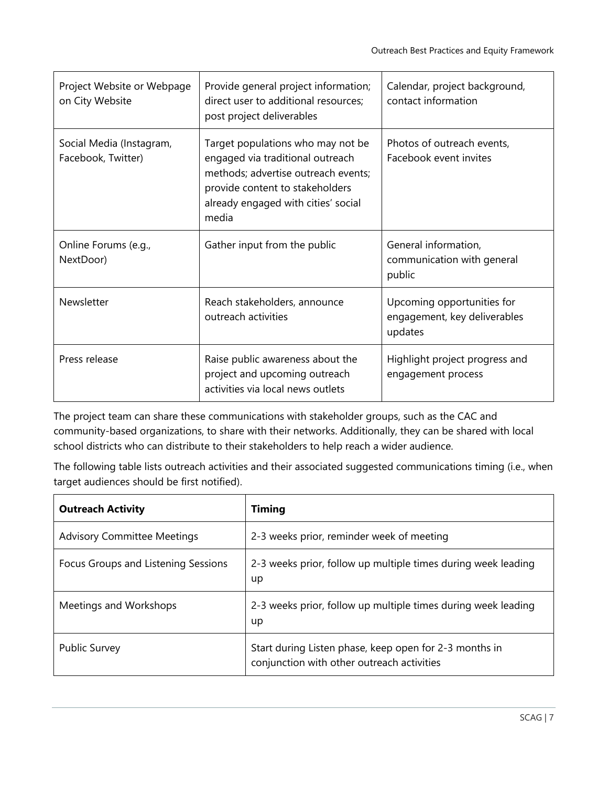| Project Website or Webpage<br>on City Website  | Provide general project information;<br>direct user to additional resources;<br>post project deliverables                                                                                       | Calendar, project background,<br>contact information                  |
|------------------------------------------------|-------------------------------------------------------------------------------------------------------------------------------------------------------------------------------------------------|-----------------------------------------------------------------------|
| Social Media (Instagram,<br>Facebook, Twitter) | Target populations who may not be<br>engaged via traditional outreach<br>methods; advertise outreach events;<br>provide content to stakeholders<br>already engaged with cities' social<br>media | Photos of outreach events,<br>Facebook event invites                  |
| Online Forums (e.g.,<br>NextDoor)              | Gather input from the public                                                                                                                                                                    | General information,<br>communication with general<br>public          |
| Newsletter                                     | Reach stakeholders, announce<br>outreach activities                                                                                                                                             | Upcoming opportunities for<br>engagement, key deliverables<br>updates |
| Press release                                  | Raise public awareness about the<br>project and upcoming outreach<br>activities via local news outlets                                                                                          | Highlight project progress and<br>engagement process                  |

The project team can share these communications with stakeholder groups, such as the CAC and community-based organizations, to share with their networks. Additionally, they can be shared with local school districts who can distribute to their stakeholders to help reach a wider audience.

The following table lists outreach activities and their associated suggested communications timing (i.e., when target audiences should be first notified).

| <b>Outreach Activity</b>            | <b>Timing</b>                                                                                        |
|-------------------------------------|------------------------------------------------------------------------------------------------------|
| <b>Advisory Committee Meetings</b>  | 2-3 weeks prior, reminder week of meeting                                                            |
| Focus Groups and Listening Sessions | 2-3 weeks prior, follow up multiple times during week leading<br>up                                  |
| Meetings and Workshops              | 2-3 weeks prior, follow up multiple times during week leading<br>up                                  |
| <b>Public Survey</b>                | Start during Listen phase, keep open for 2-3 months in<br>conjunction with other outreach activities |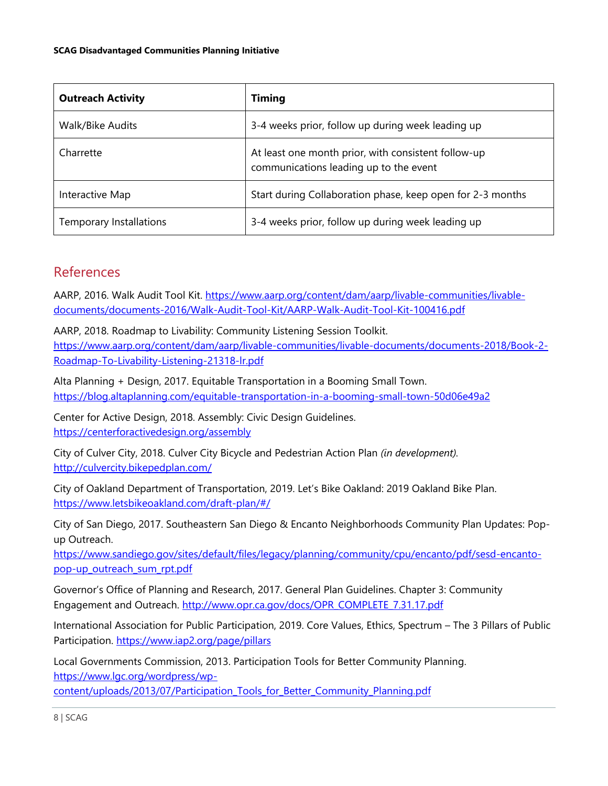| <b>Outreach Activity</b> | <b>Timing</b>                                                                                 |
|--------------------------|-----------------------------------------------------------------------------------------------|
| Walk/Bike Audits         | 3-4 weeks prior, follow up during week leading up                                             |
| Charrette                | At least one month prior, with consistent follow-up<br>communications leading up to the event |
| Interactive Map          | Start during Collaboration phase, keep open for 2-3 months                                    |
| Temporary Installations  | 3-4 weeks prior, follow up during week leading up                                             |

# References

AARP, 2016. Walk Audit Tool Kit. [https://www.aarp.org/content/dam/aarp/livable-communities/livable](https://www.aarp.org/content/dam/aarp/livable-communities/livable-documents/documents-2016/Walk-Audit-Tool-Kit/AARP-Walk-Audit-Tool-Kit-100416.pdf)[documents/documents-2016/Walk-Audit-Tool-Kit/AARP-Walk-Audit-Tool-Kit-100416.pdf](https://www.aarp.org/content/dam/aarp/livable-communities/livable-documents/documents-2016/Walk-Audit-Tool-Kit/AARP-Walk-Audit-Tool-Kit-100416.pdf)

AARP, 2018. Roadmap to Livability: Community Listening Session Toolkit. [https://www.aarp.org/content/dam/aarp/livable-communities/livable-documents/documents-2018/Book-2-](https://www.aarp.org/content/dam/aarp/livable-communities/livable-documents/documents-2018/Book-2-Roadmap-To-Livability-Listening-21318-lr.pdf) [Roadmap-To-Livability-Listening-21318-lr.pdf](https://www.aarp.org/content/dam/aarp/livable-communities/livable-documents/documents-2018/Book-2-Roadmap-To-Livability-Listening-21318-lr.pdf)

Alta Planning + Design, 2017. Equitable Transportation in a Booming Small Town. <https://blog.altaplanning.com/equitable-transportation-in-a-booming-small-town-50d06e49a2>

Center for Active Design, 2018. Assembly: Civic Design Guidelines. <https://centerforactivedesign.org/assembly>

City of Culver City, 2018. Culver City Bicycle and Pedestrian Action Plan *(in development).* <http://culvercity.bikepedplan.com/>

City of Oakland Department of Transportation, 2019. Let's Bike Oakland: 2019 Oakland Bike Plan. <https://www.letsbikeoakland.com/draft-plan/#/>

City of San Diego, 2017. Southeastern San Diego & Encanto Neighborhoods Community Plan Updates: Popup Outreach.

[https://www.sandiego.gov/sites/default/files/legacy/planning/community/cpu/encanto/pdf/sesd-encanto](https://www.sandiego.gov/sites/default/files/legacy/planning/community/cpu/encanto/pdf/sesd-encanto-pop-up_outreach_sum_rpt.pdf)[pop-up\\_outreach\\_sum\\_rpt.pdf](https://www.sandiego.gov/sites/default/files/legacy/planning/community/cpu/encanto/pdf/sesd-encanto-pop-up_outreach_sum_rpt.pdf)

Governor's Office of Planning and Research, 2017. General Plan Guidelines. Chapter 3: Community Engagement and Outreach. [http://www.opr.ca.gov/docs/OPR\\_COMPLETE\\_7.31.17.pdf](http://www.opr.ca.gov/docs/OPR_COMPLETE_7.31.17.pdf)

International Association for Public Participation, 2019. Core Values, Ethics, Spectrum – The 3 Pillars of Public Participation.<https://www.iap2.org/page/pillars>

Local Governments Commission, 2013. Participation Tools for Better Community Planning. [https://www.lgc.org/wordpress/wp-](https://www.lgc.org/wordpress/wp-content/uploads/2013/07/Participation_Tools_for_Better_Community_Planning.pdf)

[content/uploads/2013/07/Participation\\_Tools\\_for\\_Better\\_Community\\_Planning.pdf](https://www.lgc.org/wordpress/wp-content/uploads/2013/07/Participation_Tools_for_Better_Community_Planning.pdf)